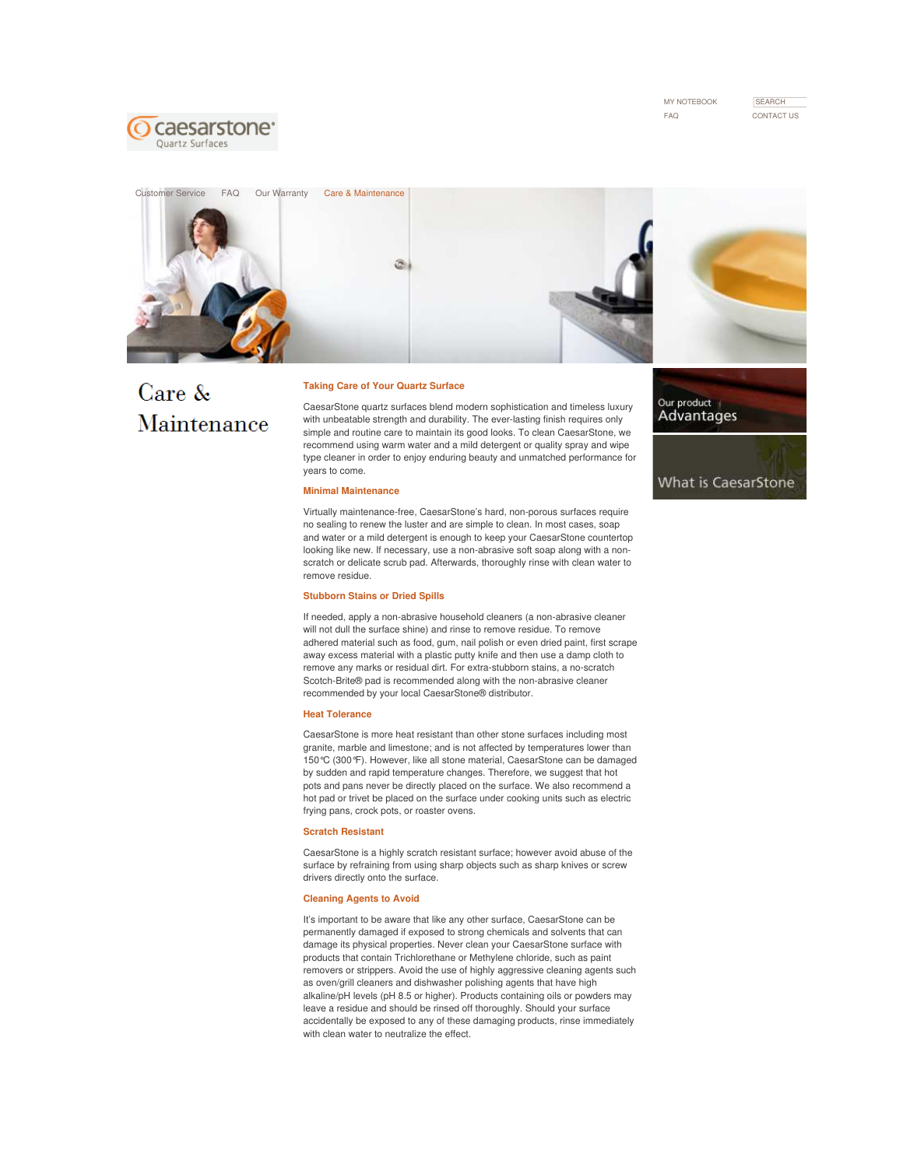MY NOTEBOOK FAQ CONTACT US

**SEARCH** 





# Care & Maintenance

#### **Taking Care of Your Quartz Surface**

CaesarStone quartz surfaces blend modern sophistication and timeless luxury with unbeatable strength and durability. The ever-lasting finish requires only simple and routine care to maintain its good looks. To clean CaesarStone, we recommend using warm water and a mild detergent or quality spray and wipe type cleaner in order to enjoy enduring beauty and unmatched performance for years to come.

### **Minimal Maintenance**

Virtually maintenance-free, CaesarStone's hard, non-porous surfaces require no sealing to renew the luster and are simple to clean. In most cases, soap and water or a mild detergent is enough to keep your CaesarStone countertop looking like new. If necessary, use a non-abrasive soft soap along with a nonscratch or delicate scrub pad. Afterwards, thoroughly rinse with clean water to remove residue.

# **Stubborn Stains or Dried Spills**

If needed, apply a non-abrasive household cleaners (a non-abrasive cleaner will not dull the surface shine) and rinse to remove residue. To remove adhered material such as food, gum, nail polish or even dried paint, first scrape away excess material with a plastic putty knife and then use a damp cloth to remove any marks or residual dirt. For extra-stubborn stains, a no-scratch Scotch-Brite® pad is recommended along with the non-abrasive cleaner recommended by your local CaesarStone® distributor.

#### **Heat Tolerance**

CaesarStone is more heat resistant than other stone surfaces including most granite, marble and limestone; and is not affected by temperatures lower than 150°C (300°F). However, like all stone material, CaesarStone can be damaged by sudden and rapid temperature changes. Therefore, we suggest that hot pots and pans never be directly placed on the surface. We also recommend a hot pad or trivet be placed on the surface under cooking units such as electric frying pans, crock pots, or roaster ovens.

## **Scratch Resistant**

CaesarStone is a highly scratch resistant surface; however avoid abuse of the surface by refraining from using sharp objects such as sharp knives or screw drivers directly onto the surface.

## **Cleaning Agents to Avoid**

It's important to be aware that like any other surface, CaesarStone can be permanently damaged if exposed to strong chemicals and solvents that can damage its physical properties. Never clean your CaesarStone surface with products that contain Trichlorethane or Methylene chloride, such as paint removers or strippers. Avoid the use of highly aggressive cleaning agents such as oven/grill cleaners and dishwasher polishing agents that have high alkaline/pH levels (pH 8.5 or higher). Products containing oils or powders may leave a residue and should be rinsed off thoroughly. Should your surface accidentally be exposed to any of these damaging products, rinse immediately with clean water to neutralize the effect.

Our product Advantages

What is CaesarStone